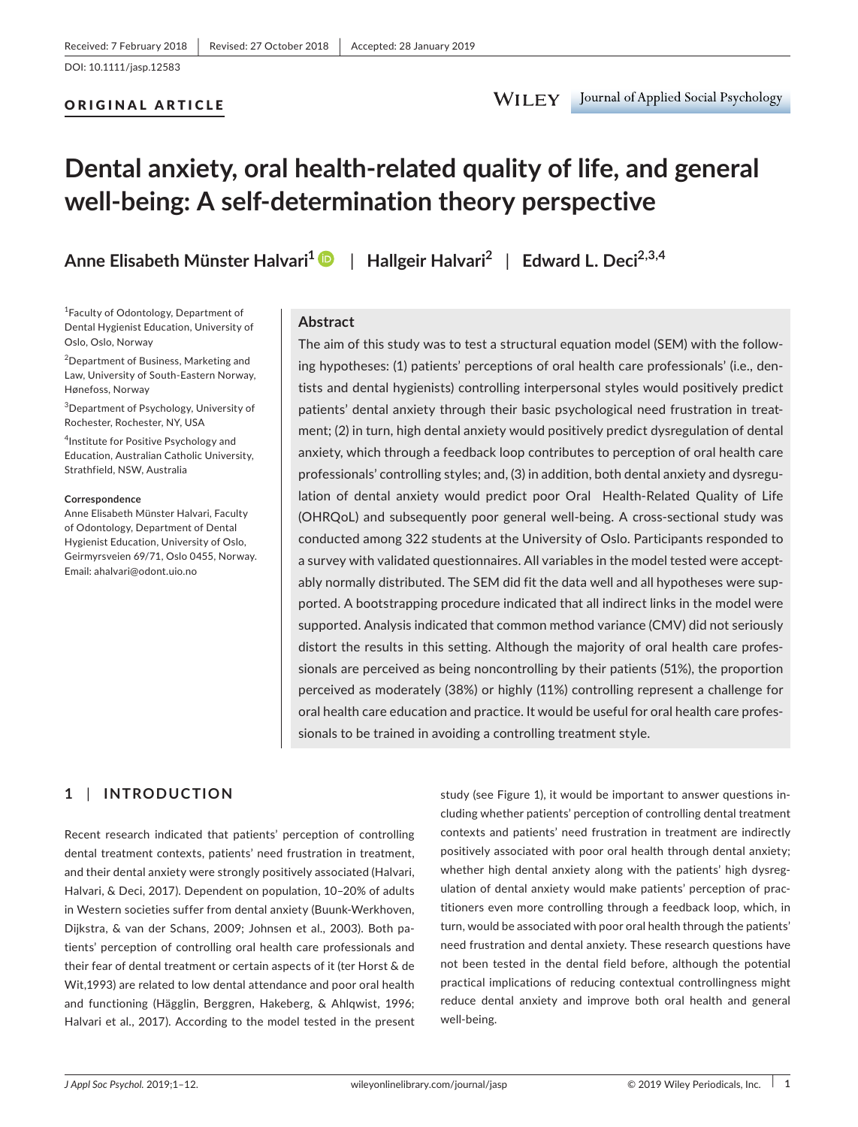## ORIGINAL ARTICLE

WILEY Journal of Applied Social Psychology

# **Dental anxiety, oral health‐related quality of life, and general well‐being: A self‐determination theory perspective**

**Anne Elisabeth Münster Halvari<sup>1</sup>** | **Hallgeir Halvari<sup>2</sup>** | **Edward L. Deci2,3,4**

<sup>1</sup> Faculty of Odontology, Department of Dental Hygienist Education, University of Oslo, Oslo, Norway

<sup>2</sup>Department of Business, Marketing and Law, University of South‐Eastern Norway, Hønefoss, Norway

3 Department of Psychology, University of Rochester, Rochester, NY, USA

4 Institute for Positive Psychology and Education, Australian Catholic University, Strathfield, NSW, Australia

#### **Correspondence**

Anne Elisabeth Münster Halvari, Faculty of Odontology, Department of Dental Hygienist Education, University of Oslo, Geirmyrsveien 69/71, Oslo 0455, Norway. Email: [ahalvari@odont.uio.no](mailto:ahalvari@odont.uio.no)

#### **Abstract**

The aim of this study was to test a structural equation model (SEM) with the following hypotheses: (1) patients' perceptions of oral health care professionals' (i.e., dentists and dental hygienists) controlling interpersonal styles would positively predict patients' dental anxiety through their basic psychological need frustration in treatment; (2) in turn, high dental anxiety would positively predict dysregulation of dental anxiety, which through a feedback loop contributes to perception of oral health care professionals' controlling styles; and, (3) in addition, both dental anxiety and dysregulation of dental anxiety would predict poor Oral Health-Related Quality of Life (OHRQoL) and subsequently poor general well‐being. A cross‐sectional study was conducted among 322 students at the University of Oslo. Participants responded to a survey with validated questionnaires. All variables in the model tested were acceptably normally distributed. The SEM did fit the data well and all hypotheses were supported. A bootstrapping procedure indicated that all indirect links in the model were supported. Analysis indicated that common method variance (CMV) did not seriously distort the results in this setting. Although the majority of oral health care professionals are perceived as being noncontrolling by their patients (51%), the proportion perceived as moderately (38%) or highly (11%) controlling represent a challenge for oral health care education and practice. It would be useful for oral health care professionals to be trained in avoiding a controlling treatment style.

# **1** | **INTRODUCTION**

Recent research indicated that patients' perception of controlling dental treatment contexts, patients' need frustration in treatment, and their dental anxiety were strongly positively associated (Halvari, Halvari, & Deci, 2017). Dependent on population, 10–20% of adults in Western societies suffer from dental anxiety (Buunk-Werkhoven, Dijkstra, & van der Schans, 2009; Johnsen et al., 2003). Both patients' perception of controlling oral health care professionals and their fear of dental treatment or certain aspects of it (ter Horst & de Wit,1993) are related to low dental attendance and poor oral health and functioning (Hägglin, Berggren, Hakeberg, & Ahlqwist, 1996; Halvari et al., 2017). According to the model tested in the present study (see Figure 1), it would be important to answer questions including whether patients' perception of controlling dental treatment contexts and patients' need frustration in treatment are indirectly positively associated with poor oral health through dental anxiety; whether high dental anxiety along with the patients' high dysregulation of dental anxiety would make patients' perception of practitioners even more controlling through a feedback loop, which, in turn, would be associated with poor oral health through the patients' need frustration and dental anxiety. These research questions have not been tested in the dental field before, although the potential practical implications of reducing contextual controllingness might reduce dental anxiety and improve both oral health and general well-being.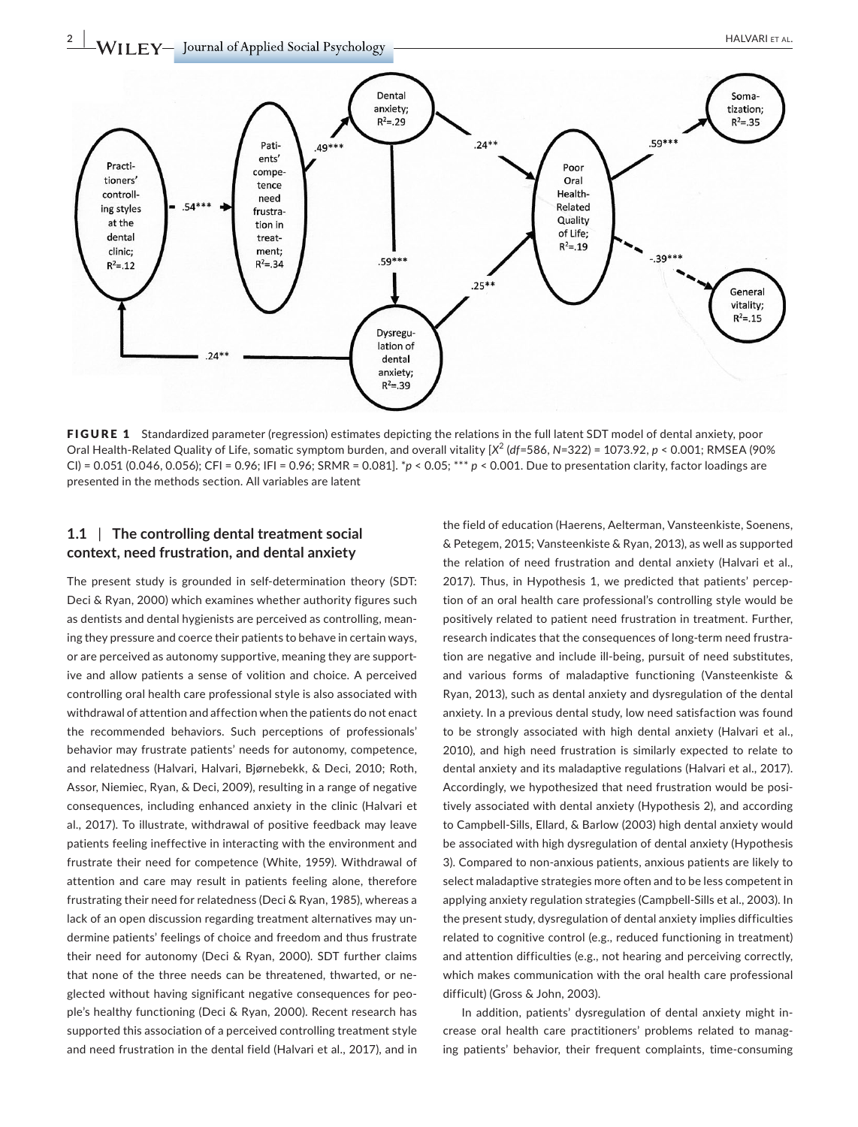**2 |**  HALVARI et AL.



FIGURE 1 Standardized parameter (regression) estimates depicting the relations in the full latent SDT model of dental anxiety, poor Oral Health-Related Quality of Life, somatic symptom burden, and overall vitality [X<sup>2</sup> (df=586, N=322) = 1073.92, p < 0.001; RMSEA (90% CI) = 0.051 (0.046, 0.056); CFI = 0.96; IFI = 0.96; SRMR = 0.081]. \**p* < 0.05; \*\*\* *p* < 0.001. Due to presentation clarity, factor loadings are presented in the methods section. All variables are latent

# **1.1** | **The controlling dental treatment social context, need frustration, and dental anxiety**

The present study is grounded in self-determination theory (SDT: Deci & Ryan, 2000) which examines whether authority figures such as dentists and dental hygienists are perceived as controlling, meaning they pressure and coerce their patients to behave in certain ways, or are perceived as autonomy supportive, meaning they are supportive and allow patients a sense of volition and choice. A perceived controlling oral health care professional style is also associated with withdrawal of attention and affection when the patients do not enact the recommended behaviors. Such perceptions of professionals' behavior may frustrate patients' needs for autonomy, competence, and relatedness (Halvari, Halvari, Bjørnebekk, & Deci, 2010; Roth, Assor, Niemiec, Ryan, & Deci, 2009), resulting in a range of negative consequences, including enhanced anxiety in the clinic (Halvari et al., 2017). To illustrate, withdrawal of positive feedback may leave patients feeling ineffective in interacting with the environment and frustrate their need for competence (White, 1959). Withdrawal of attention and care may result in patients feeling alone, therefore frustrating their need for relatedness (Deci & Ryan, 1985), whereas a lack of an open discussion regarding treatment alternatives may undermine patients' feelings of choice and freedom and thus frustrate their need for autonomy (Deci & Ryan, 2000). SDT further claims that none of the three needs can be threatened, thwarted, or neglected without having significant negative consequences for people's healthy functioning (Deci & Ryan, 2000). Recent research has supported this association of a perceived controlling treatment style and need frustration in the dental field (Halvari et al., 2017), and in

the field of education (Haerens, Aelterman, Vansteenkiste, Soenens, & Petegem, 2015; Vansteenkiste & Ryan, 2013), as well as supported the relation of need frustration and dental anxiety (Halvari et al., 2017). Thus, in Hypothesis 1, we predicted that patients' perception of an oral health care professional's controlling style would be positively related to patient need frustration in treatment. Further, research indicates that the consequences of long-term need frustration are negative and include ill-being, pursuit of need substitutes, and various forms of maladaptive functioning (Vansteenkiste & Ryan, 2013), such as dental anxiety and dysregulation of the dental anxiety. In a previous dental study, low need satisfaction was found to be strongly associated with high dental anxiety (Halvari et al., 2010), and high need frustration is similarly expected to relate to dental anxiety and its maladaptive regulations (Halvari et al., 2017). Accordingly, we hypothesized that need frustration would be positively associated with dental anxiety (Hypothesis 2), and according to Campbell-Sills, Ellard, & Barlow (2003) high dental anxiety would be associated with high dysregulation of dental anxiety (Hypothesis 3). Compared to non-anxious patients, anxious patients are likely to select maladaptive strategies more often and to be less competent in applying anxiety regulation strategies (Campbell‐Sills et al., 2003). In the present study, dysregulation of dental anxiety implies difficulties related to cognitive control (e.g., reduced functioning in treatment) and attention difficulties (e.g., not hearing and perceiving correctly, which makes communication with the oral health care professional difficult) (Gross & John, 2003).

In addition, patients' dysregulation of dental anxiety might increase oral health care practitioners' problems related to managing patients' behavior, their frequent complaints, time-consuming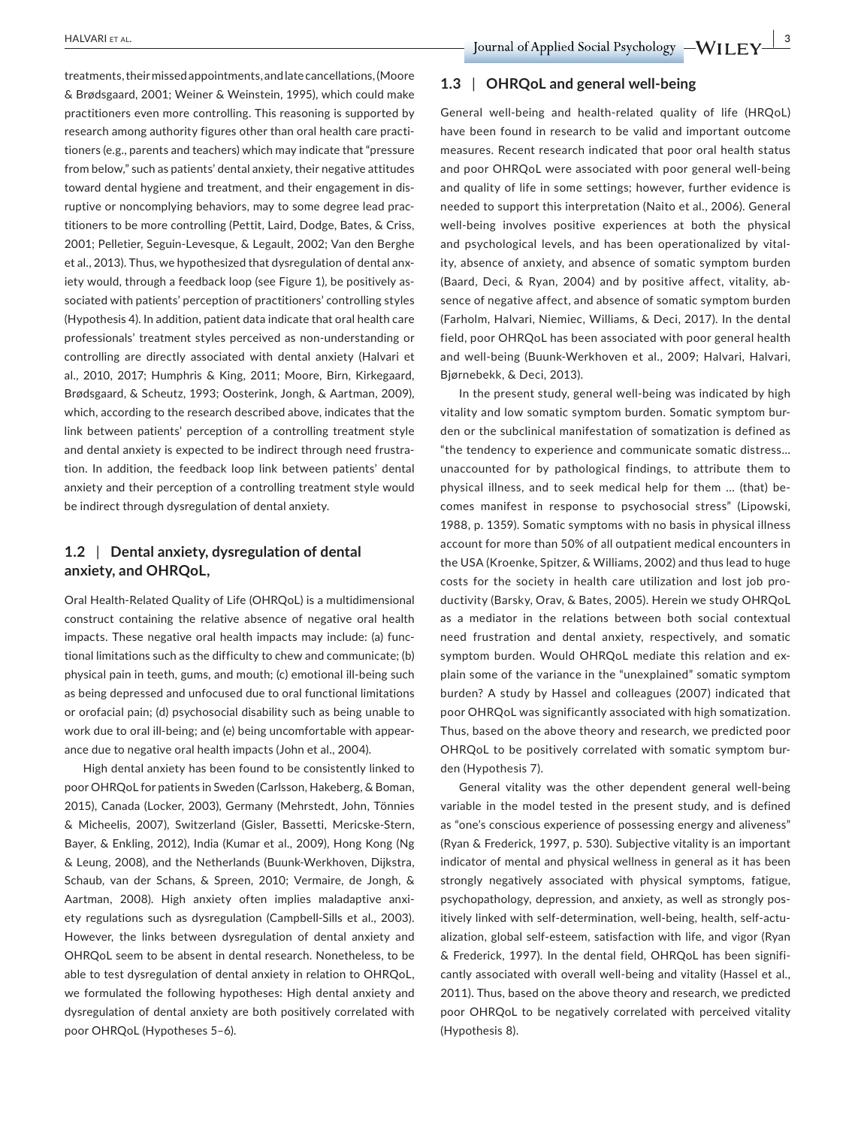treatments, their missed appointments, and late cancellations, (Moore & Brødsgaard, 2001; Weiner & Weinstein, 1995), which could make practitioners even more controlling. This reasoning is supported by research among authority figures other than oral health care practitioners (e.g., parents and teachers) which may indicate that "pressure from below," such as patients' dental anxiety, their negative attitudes toward dental hygiene and treatment, and their engagement in disruptive or noncomplying behaviors, may to some degree lead practitioners to be more controlling (Pettit, Laird, Dodge, Bates, & Criss, 2001; Pelletier, Seguin-Levesque, & Legault, 2002; Van den Berghe et al., 2013). Thus, we hypothesized that dysregulation of dental anxiety would, through a feedback loop (see Figure 1), be positively associated with patients' perception of practitioners' controlling styles (Hypothesis 4). In addition, patient data indicate that oral health care professionals' treatment styles perceived as non-understanding or controlling are directly associated with dental anxiety (Halvari et al., 2010, 2017; Humphris & King, 2011; Moore, Birn, Kirkegaard, Brødsgaard, & Scheutz, 1993; Oosterink, Jongh, & Aartman, 2009), which, according to the research described above, indicates that the link between patients' perception of a controlling treatment style and dental anxiety is expected to be indirect through need frustration. In addition, the feedback loop link between patients' dental anxiety and their perception of a controlling treatment style would be indirect through dysregulation of dental anxiety.

# **1.2** | **Dental anxiety, dysregulation of dental anxiety, and OHRQoL,**

Oral Health‐Related Quality of Life (OHRQoL) is a multidimensional construct containing the relative absence of negative oral health impacts. These negative oral health impacts may include: (a) functional limitations such as the difficulty to chew and communicate; (b) physical pain in teeth, gums, and mouth; (c) emotional ill-being such as being depressed and unfocused due to oral functional limitations or orofacial pain; (d) psychosocial disability such as being unable to work due to oral ill-being; and (e) being uncomfortable with appearance due to negative oral health impacts (John et al., 2004).

High dental anxiety has been found to be consistently linked to poor OHRQoL for patients in Sweden (Carlsson, Hakeberg, & Boman, 2015), Canada (Locker, 2003), Germany (Mehrstedt, John, Tönnies & Micheelis, 2007), Switzerland (Gisler, Bassetti, Mericske-Stern, Bayer, & Enkling, 2012), India (Kumar et al., 2009), Hong Kong (Ng & Leung, 2008), and the Netherlands (Buunk‐Werkhoven, Dijkstra, Schaub, van der Schans, & Spreen, 2010; Vermaire, de Jongh, & Aartman, 2008). High anxiety often implies maladaptive anxiety regulations such as dysregulation (Campbell-Sills et al., 2003). However, the links between dysregulation of dental anxiety and OHRQoL seem to be absent in dental research. Nonetheless, to be able to test dysregulation of dental anxiety in relation to OHRQoL, we formulated the following hypotheses: High dental anxiety and dysregulation of dental anxiety are both positively correlated with poor OHRQoL (Hypotheses 5–6).

## **1.3** | **OHRQoL and general well‐being**

General well‐being and health‐related quality of life (HRQoL) have been found in research to be valid and important outcome measures. Recent research indicated that poor oral health status and poor OHRQoL were associated with poor general well‐being and quality of life in some settings; however, further evidence is needed to support this interpretation (Naito et al., 2006). General well-being involves positive experiences at both the physical and psychological levels, and has been operationalized by vitality, absence of anxiety, and absence of somatic symptom burden (Baard, Deci, & Ryan, 2004) and by positive affect, vitality, absence of negative affect, and absence of somatic symptom burden (Farholm, Halvari, Niemiec, Williams, & Deci, 2017). In the dental field, poor OHRQoL has been associated with poor general health and well-being (Buunk-Werkhoven et al., 2009; Halvari, Halvari, Bjørnebekk, & Deci, 2013).

In the present study, general well-being was indicated by high vitality and low somatic symptom burden. Somatic symptom burden or the subclinical manifestation of somatization is defined as "the tendency to experience and communicate somatic distress… unaccounted for by pathological findings, to attribute them to physical illness, and to seek medical help for them … (that) becomes manifest in response to psychosocial stress" (Lipowski, 1988, p. 1359). Somatic symptoms with no basis in physical illness account for more than 50% of all outpatient medical encounters in the USA (Kroenke, Spitzer, & Williams, 2002) and thus lead to huge costs for the society in health care utilization and lost job productivity (Barsky, Orav, & Bates, 2005). Herein we study OHRQoL as a mediator in the relations between both social contextual need frustration and dental anxiety, respectively, and somatic symptom burden. Would OHRQoL mediate this relation and explain some of the variance in the "unexplained" somatic symptom burden? A study by Hassel and colleagues (2007) indicated that poor OHRQoL was significantly associated with high somatization. Thus, based on the above theory and research, we predicted poor OHRQoL to be positively correlated with somatic symptom burden (Hypothesis 7).

General vitality was the other dependent general well-being variable in the model tested in the present study, and is defined as "one's conscious experience of possessing energy and aliveness" (Ryan & Frederick, 1997, p. 530). Subjective vitality is an important indicator of mental and physical wellness in general as it has been strongly negatively associated with physical symptoms, fatigue, psychopathology, depression, and anxiety, as well as strongly positively linked with self-determination, well-being, health, self-actualization, global self-esteem, satisfaction with life, and vigor (Ryan & Frederick, 1997). In the dental field, OHRQoL has been significantly associated with overall well-being and vitality (Hassel et al., 2011). Thus, based on the above theory and research, we predicted poor OHRQoL to be negatively correlated with perceived vitality (Hypothesis 8).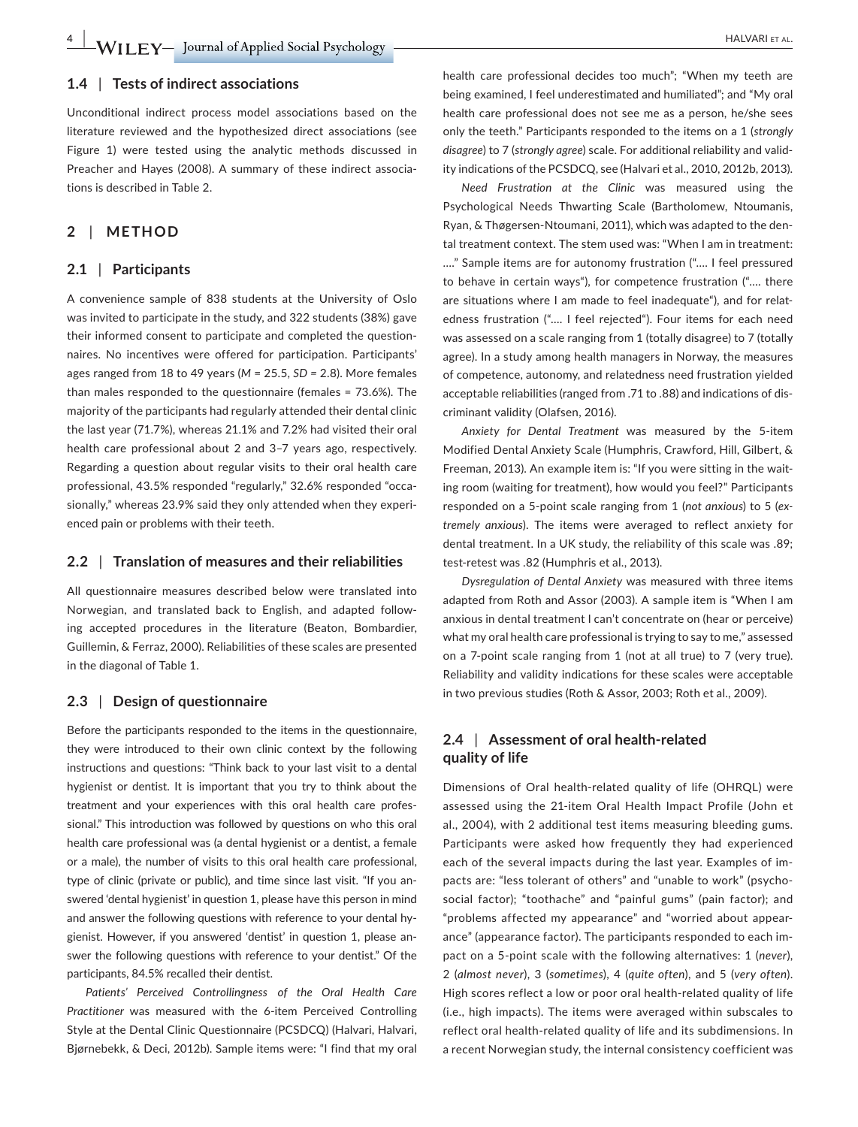#### **1.4** | **Tests of indirect associations**

Unconditional indirect process model associations based on the literature reviewed and the hypothesized direct associations (see Figure 1) were tested using the analytic methods discussed in Preacher and Hayes (2008). A summary of these indirect associations is described in Table 2.

# **2** | **METHOD**

## **2.1** | **Participants**

A convenience sample of 838 students at the University of Oslo was invited to participate in the study, and 322 students (38%) gave their informed consent to participate and completed the questionnaires. No incentives were offered for participation. Participants' ages ranged from 18 to 49 years (*M* = 25.5, *SD =* 2.8). More females than males responded to the questionnaire (females = 73.6%). The majority of the participants had regularly attended their dental clinic the last year (71.7%), whereas 21.1% and 7.2% had visited their oral health care professional about 2 and 3–7 years ago, respectively. Regarding a question about regular visits to their oral health care professional, 43.5% responded "regularly," 32.6% responded "occasionally," whereas 23.9% said they only attended when they experienced pain or problems with their teeth.

#### **2.2** | **Translation of measures and their reliabilities**

All questionnaire measures described below were translated into Norwegian, and translated back to English, and adapted following accepted procedures in the literature (Beaton, Bombardier, Guillemin, & Ferraz, 2000). Reliabilities of these scales are presented in the diagonal of Table 1.

## **2.3** | **Design of questionnaire**

Before the participants responded to the items in the questionnaire, they were introduced to their own clinic context by the following instructions and questions: "Think back to your last visit to a dental hygienist or dentist. It is important that you try to think about the treatment and your experiences with this oral health care professional." This introduction was followed by questions on who this oral health care professional was (a dental hygienist or a dentist, a female or a male), the number of visits to this oral health care professional, type of clinic (private or public), and time since last visit. "If you answered 'dental hygienist' in question 1, please have this person in mind and answer the following questions with reference to your dental hygienist. However, if you answered 'dentist' in question 1, please answer the following questions with reference to your dentist." Of the participants, 84.5% recalled their dentist.

*Patients' Perceived Controllingness of the Oral Health Care Practitioner* was measured with the 6-item Perceived Controlling Style at the Dental Clinic Questionnaire (PCSDCQ) (Halvari, Halvari, Bjørnebekk, & Deci, 2012b). Sample items were: "I find that my oral

health care professional decides too much"; "When my teeth are being examined, I feel underestimated and humiliated"; and "My oral health care professional does not see me as a person, he/she sees only the teeth." Participants responded to the items on a 1 (*strongly disagree*) to 7 (*strongly agree*) scale. For additional reliability and validity indications of the PCSDCQ, see (Halvari et al., 2010, 2012b, 2013).

*Need Frustration at the Clinic* was measured using the Psychological Needs Thwarting Scale (Bartholomew, Ntoumanis, Ryan, & Thøgersen‐Ntoumani, 2011), which was adapted to the dental treatment context. The stem used was: "When I am in treatment: …." Sample items are for autonomy frustration ("…. I feel pressured to behave in certain ways"), for competence frustration ("…. there are situations where I am made to feel inadequate"), and for relatedness frustration ("…. I feel rejected"). Four items for each need was assessed on a scale ranging from 1 (totally disagree) to 7 (totally agree). In a study among health managers in Norway, the measures of competence, autonomy, and relatedness need frustration yielded acceptable reliabilities (ranged from .71 to .88) and indications of discriminant validity (Olafsen, 2016).

*Anxiety for Dental Treatment* was measured by the 5‐item Modified Dental Anxiety Scale (Humphris, Crawford, Hill, Gilbert, & Freeman, 2013). An example item is: "If you were sitting in the waiting room (waiting for treatment), how would you feel?" Participants responded on a 5‐point scale ranging from 1 (*not anxious*) to 5 (*extremely anxious*). The items were averaged to reflect anxiety for dental treatment. In a UK study, the reliability of this scale was .89; test-retest was .82 (Humphris et al., 2013).

*Dysregulation of Dental Anxiety* was measured with three items adapted from Roth and Assor (2003). A sample item is "When I am anxious in dental treatment I can't concentrate on (hear or perceive) what my oral health care professional is trying to say to me," assessed on a 7-point scale ranging from 1 (not at all true) to 7 (very true). Reliability and validity indications for these scales were acceptable in two previous studies (Roth & Assor, 2003; Roth et al., 2009).

# **2.4** | **Assessment of oral health‐related quality of life**

Dimensions of Oral health-related quality of life (OHRQL) were assessed using the 21‐item Oral Health Impact Profile (John et al., 2004), with 2 additional test items measuring bleeding gums. Participants were asked how frequently they had experienced each of the several impacts during the last year. Examples of impacts are: "less tolerant of others" and "unable to work" (psychosocial factor); "toothache" and "painful gums" (pain factor); and "problems affected my appearance" and "worried about appearance" (appearance factor). The participants responded to each impact on a 5‐point scale with the following alternatives: 1 (*never*), 2 (*almost never*), 3 (*sometimes*), 4 (*quite often*), and 5 (*very often*). High scores reflect a low or poor oral health-related quality of life (i.e., high impacts). The items were averaged within subscales to reflect oral health‐related quality of life and its subdimensions. In a recent Norwegian study, the internal consistency coefficient was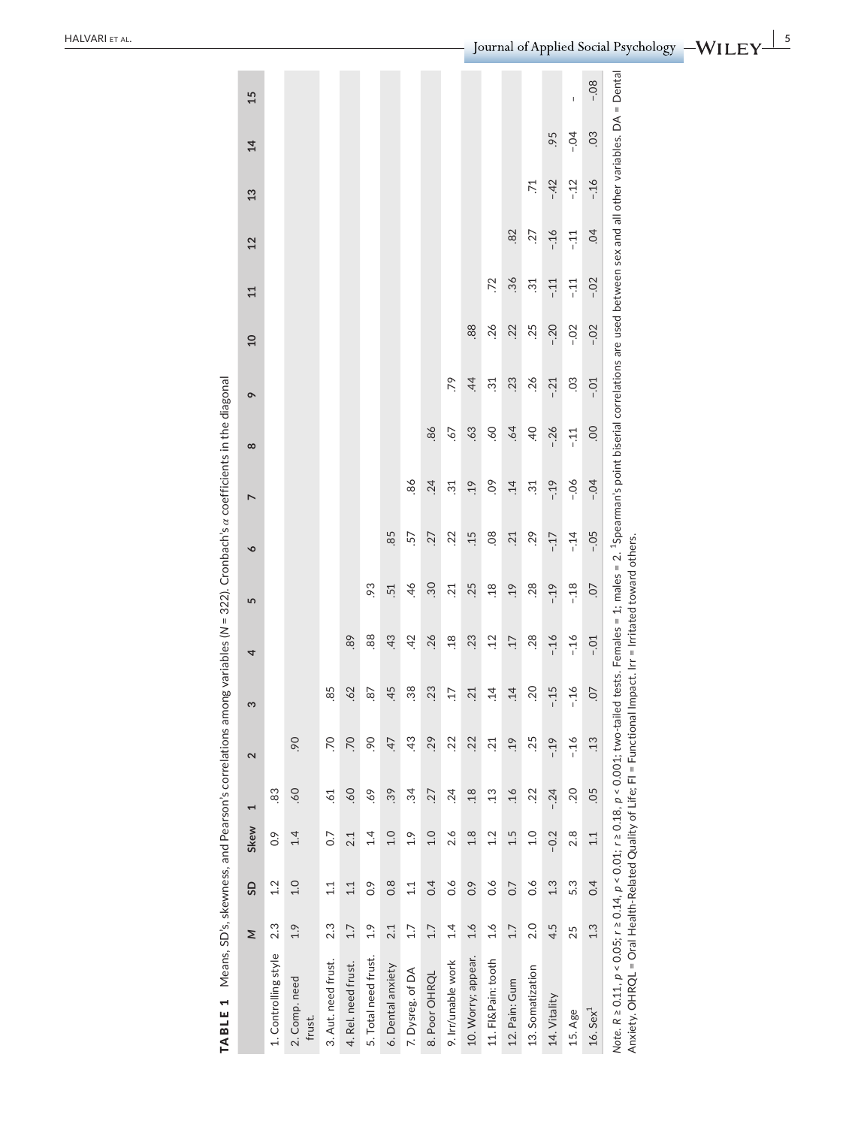| TABLE 1                                                                                                                                                                                                             |     |                  |                   |                |                   | Means, SD's, skewness, and Pearson's correlations among variables (N = 322). Cronbach's $\alpha$ coefficients in the diagonal |         |                  |        |                 |                 |                                                                                                                                                 |                 |                 |                |       |        |             |
|---------------------------------------------------------------------------------------------------------------------------------------------------------------------------------------------------------------------|-----|------------------|-------------------|----------------|-------------------|-------------------------------------------------------------------------------------------------------------------------------|---------|------------------|--------|-----------------|-----------------|-------------------------------------------------------------------------------------------------------------------------------------------------|-----------------|-----------------|----------------|-------|--------|-------------|
|                                                                                                                                                                                                                     | Σ   | G                | Skew              | 1              | $\mathbf{\Omega}$ | 3                                                                                                                             | 4       | 5                | ó      | $\overline{ }$  | $\infty$        | $\sigma$                                                                                                                                        | $\overline{10}$ | 11              | 12             | 13    | 14     | 15          |
| 1. Controlling style                                                                                                                                                                                                | 2.3 | 1.2              | $\overline{0}$ .  | 83             |                   |                                                                                                                               |         |                  |        |                 |                 |                                                                                                                                                 |                 |                 |                |       |        |             |
| 2. Comp. need<br>frust.                                                                                                                                                                                             | 1.9 | 1.0              | 1.4               | -60            | 90                |                                                                                                                               |         |                  |        |                 |                 |                                                                                                                                                 |                 |                 |                |       |        |             |
| 3. Aut. need frust.                                                                                                                                                                                                 | 2.3 | 1.1              | $\overline{0}$ .7 | 52             | S.                | 85                                                                                                                            |         |                  |        |                 |                 |                                                                                                                                                 |                 |                 |                |       |        |             |
| 4. Rel. need frust.                                                                                                                                                                                                 | 1.7 | 1.1              | 2.1               | -60            | CZ.               | .62                                                                                                                           | 89      |                  |        |                 |                 |                                                                                                                                                 |                 |                 |                |       |        |             |
| 5. Total need frust.                                                                                                                                                                                                | 1.9 | o.o              | 1.4               | 69             | 90                | 87                                                                                                                            | 88      | 93               |        |                 |                 |                                                                                                                                                 |                 |                 |                |       |        |             |
| 6. Dental anxiety                                                                                                                                                                                                   | 2.1 | $0.\overline{8}$ | 1.0               | 39             | $\overline{47}$   | 45                                                                                                                            | 43      | 51               | 85     |                 |                 |                                                                                                                                                 |                 |                 |                |       |        |             |
| 7. Dysreg. of DA                                                                                                                                                                                                    | 1.7 | 1.1              | 1.9               | $\ddot{3}4$    | 43                | $\overline{38}$                                                                                                               | 42      | 46               | 57     | 86              |                 |                                                                                                                                                 |                 |                 |                |       |        |             |
| 8. Poor OHRQL                                                                                                                                                                                                       | 1.7 | 0.4              | 0.1               | 27             | .29               | .23                                                                                                                           | 26      | 30               | 27     | .24             | 86              |                                                                                                                                                 |                 |                 |                |       |        |             |
| 9. Irr/unable work                                                                                                                                                                                                  | 1.4 | $\frac{6}{10}$   | 2.6               | .24            | .22               | 17                                                                                                                            | 18      | 21               | .22    | $\overline{31}$ | 67              | 79                                                                                                                                              |                 |                 |                |       |        |             |
| 10. Worry; appear.                                                                                                                                                                                                  | 1.6 | 0.9              | $\frac{8}{1}$     | 18             | 22                | 21                                                                                                                            | 23      | 25               | .15    | .19             | 63              | $\overline{4}$                                                                                                                                  | 88              |                 |                |       |        |             |
| 11. FI&Pain: tooth                                                                                                                                                                                                  | 1.6 | $\frac{6}{10}$   | 1.2               | $\ddot{1}3$    | 21                | $\ddot{1}4$                                                                                                                   | .12     | 18               | 08     | δ.              | -60             | $\overline{31}$                                                                                                                                 | .26             | 72              |                |       |        |             |
| 12. Pain: Gum                                                                                                                                                                                                       | 1.7 | 0.7              | 1.5               | .16            | 9.1               | $\ddot{1}4$                                                                                                                   | 17      | .19              | .21    | $\ddot{1}4$     | $-64$           | 23                                                                                                                                              | .22             | 36              | .82            |       |        |             |
| 13. Somatization                                                                                                                                                                                                    | 2.0 | $\frac{6}{10}$   | 0.1               | .22            | .25               | 20                                                                                                                            | 28      | .28              | .29    | $\ddot{3}$      | $\overline{40}$ | .26                                                                                                                                             | .25             | $\overline{31}$ | 27             | 71    |        |             |
| 14. Vitality                                                                                                                                                                                                        | 4.5 | 1.3              | $-0.2$            | $-24$          | $-19$             | $-15$                                                                                                                         | $-16$   | $-19$            | $-17$  | $-19$           | $-26$           | $-21$                                                                                                                                           | $-0.20$         | $-11 -$         | $-16$          | $-42$ | .95    |             |
| 15. Age                                                                                                                                                                                                             | 25  | 5.3              | 2.8               | $\overline{5}$ | $-16$             | $-16$                                                                                                                         | $-16$   | $-18$            | $-14$  | $-06$           | $-11$           | SO.                                                                                                                                             | $-0.2$          | $-11$           | $-11$          | $-12$ | $-0.4$ | $\mathsf I$ |
| $16.$ Sex <sup>1</sup>                                                                                                                                                                                              | 1.3 | 0.4              | 1.1               | .05            | .13               | $\overline{0}$ .                                                                                                              | $-0.01$ | $\overline{0}$ . | $-0.5$ | $-0.4$          | OO.             | $-0.01$                                                                                                                                         | $-0.02$         | $-0.02$         | $\overline{6}$ | $-16$ | 03     | $-0.08$     |
| Anxiety. OHRQL = Oral Health-Related Quality of Life: FI = Functional Impact. Irr = Irritated toward others.<br>Note. $R \ge 0.11$ , $p < 0.05$ ; $r \ge 0.14$ , $p < 0.01$ ; $r \ge 0.18$ , $p < 0.001$ ; two-tail |     |                  |                   |                |                   |                                                                                                                               |         |                  |        |                 |                 | ed tests. Females = 1; males = 2. <sup>1</sup> Spearman's point biserial correlations are used between sex and all other variables. DA = Dental |                 |                 |                |       |        |             |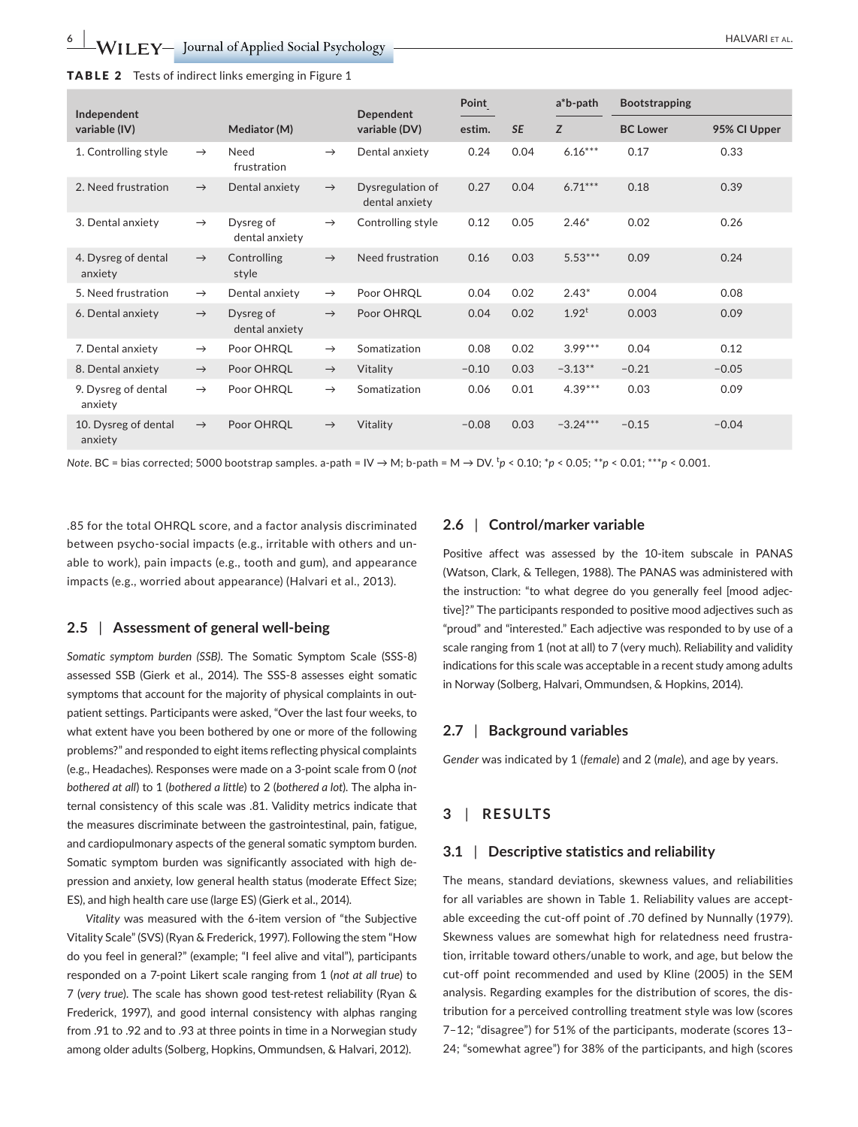| <b>TABLE 2</b> Tests of indirect links emerging in Figure 1 |  |
|-------------------------------------------------------------|--|
|-------------------------------------------------------------|--|

| Independent                     |               |                             |               | Dependent                          | Point   |           | $a^*b$ -path | <b>Bootstrapping</b> |              |
|---------------------------------|---------------|-----------------------------|---------------|------------------------------------|---------|-----------|--------------|----------------------|--------------|
| variable (IV)                   |               | Mediator (M)                |               | variable (DV)                      | estim.  | <b>SE</b> | Z            | <b>BC Lower</b>      | 95% Cl Upper |
| 1. Controlling style            | $\rightarrow$ | Need<br>frustration         | $\rightarrow$ | Dental anxiety                     | 0.24    | 0.04      | $6.16***$    | 0.17                 | 0.33         |
| 2. Need frustration             | $\rightarrow$ | Dental anxiety              | $\rightarrow$ | Dysregulation of<br>dental anxiety | 0.27    | 0.04      | $6.71***$    | 0.18                 | 0.39         |
| 3. Dental anxiety               | $\rightarrow$ | Dysreg of<br>dental anxiety | $\rightarrow$ | Controlling style                  | 0.12    | 0.05      | $2.46*$      | 0.02                 | 0.26         |
| 4. Dysreg of dental<br>anxiety  | $\rightarrow$ | Controlling<br>style        | $\rightarrow$ | Need frustration                   | 0.16    | 0.03      | $5.53***$    | 0.09                 | 0.24         |
| 5. Need frustration             | $\rightarrow$ | Dental anxiety              | $\rightarrow$ | Poor OHRQL                         | 0.04    | 0.02      | $2.43*$      | 0.004                | 0.08         |
| 6. Dental anxiety               | $\rightarrow$ | Dysreg of<br>dental anxiety | $\rightarrow$ | Poor OHRQL                         | 0.04    | 0.02      | $1.92^t$     | 0.003                | 0.09         |
| 7. Dental anxiety               | $\rightarrow$ | Poor OHRQL                  | $\rightarrow$ | Somatization                       | 0.08    | 0.02      | $3.99***$    | 0.04                 | 0.12         |
| 8. Dental anxiety               | $\rightarrow$ | Poor OHRQL                  | $\rightarrow$ | Vitality                           | $-0.10$ | 0.03      | $-3.13**$    | $-0.21$              | $-0.05$      |
| 9. Dysreg of dental<br>anxiety  | $\rightarrow$ | Poor OHRQL                  | $\rightarrow$ | Somatization                       | 0.06    | 0.01      | $4.39***$    | 0.03                 | 0.09         |
| 10. Dysreg of dental<br>anxiety | $\rightarrow$ | Poor OHRQL                  | $\rightarrow$ | Vitality                           | $-0.08$ | 0.03      | $-3.24***$   | $-0.15$              | $-0.04$      |

*Note.* BC = bias corrected; 5000 bootstrap samples. a-path = IV → M; b-path = M → DV. <sup>t</sup>p < 0.10; \*p < 0.05; \*\*p < 0.01; \*\*\*p < 0.001.

.85 for the total OHRQL score, and a factor analysis discriminated between psycho-social impacts (e.g., irritable with others and unable to work), pain impacts (e.g., tooth and gum), and appearance impacts (e.g., worried about appearance) (Halvari et al., 2013).

#### **2.5** | **Assessment of general well‐being**

*Somatic symptom burden (SSB)*. The Somatic Symptom Scale (SSS-8) assessed SSB (Gierk et al., 2014). The SSS-8 assesses eight somatic symptoms that account for the majority of physical complaints in outpatient settings. Participants were asked, "Over the last four weeks, to what extent have you been bothered by one or more of the following problems?" and responded to eight items reflecting physical complaints (e.g., Headaches). Responses were made on a 3-point scale from 0 (*not bothered at all*) to 1 (*bothered a little*) to 2 (*bothered a lot*). The alpha internal consistency of this scale was .81. Validity metrics indicate that the measures discriminate between the gastrointestinal, pain, fatigue, and cardiopulmonary aspects of the general somatic symptom burden. Somatic symptom burden was significantly associated with high depression and anxiety, low general health status (moderate Effect Size; ES), and high health care use (large ES) (Gierk et al., 2014).

*Vitality* was measured with the 6-item version of "the Subjective Vitality Scale" (SVS) (Ryan & Frederick, 1997). Following the stem "How do you feel in general?" (example; "I feel alive and vital"), participants responded on a 7-point Likert scale ranging from 1 (*not at all true*) to 7 (*very true*). The scale has shown good test-retest reliability (Ryan & Frederick, 1997), and good internal consistency with alphas ranging from .91 to .92 and to .93 at three points in time in a Norwegian study among older adults (Solberg, Hopkins, Ommundsen, & Halvari, 2012).

#### **2.6** | **Control/marker variable**

Positive affect was assessed by the 10‐item subscale in PANAS (Watson, Clark, & Tellegen, 1988). The PANAS was administered with the instruction: "to what degree do you generally feel [mood adjective]?" The participants responded to positive mood adjectives such as "proud" and "interested." Each adjective was responded to by use of a scale ranging from 1 (not at all) to 7 (very much). Reliability and validity indications for this scale was acceptable in a recent study among adults in Norway (Solberg, Halvari, Ommundsen, & Hopkins, 2014).

#### **2.7** | **Background variables**

*Gender* was indicated by 1 (*female*) and 2 (*male*), and age by years.

## **3** | **RESULTS**

#### **3.1** | **Descriptive statistics and reliability**

The means, standard deviations, skewness values, and reliabilities for all variables are shown in Table 1. Reliability values are acceptable exceeding the cut-off point of .70 defined by Nunnally (1979). Skewness values are somewhat high for relatedness need frustration, irritable toward others/unable to work, and age, but below the cut-off point recommended and used by Kline (2005) in the SEM analysis. Regarding examples for the distribution of scores, the distribution for a perceived controlling treatment style was low (scores 7–12; "disagree") for 51% of the participants, moderate (scores 13– 24; "somewhat agree") for 38% of the participants, and high (scores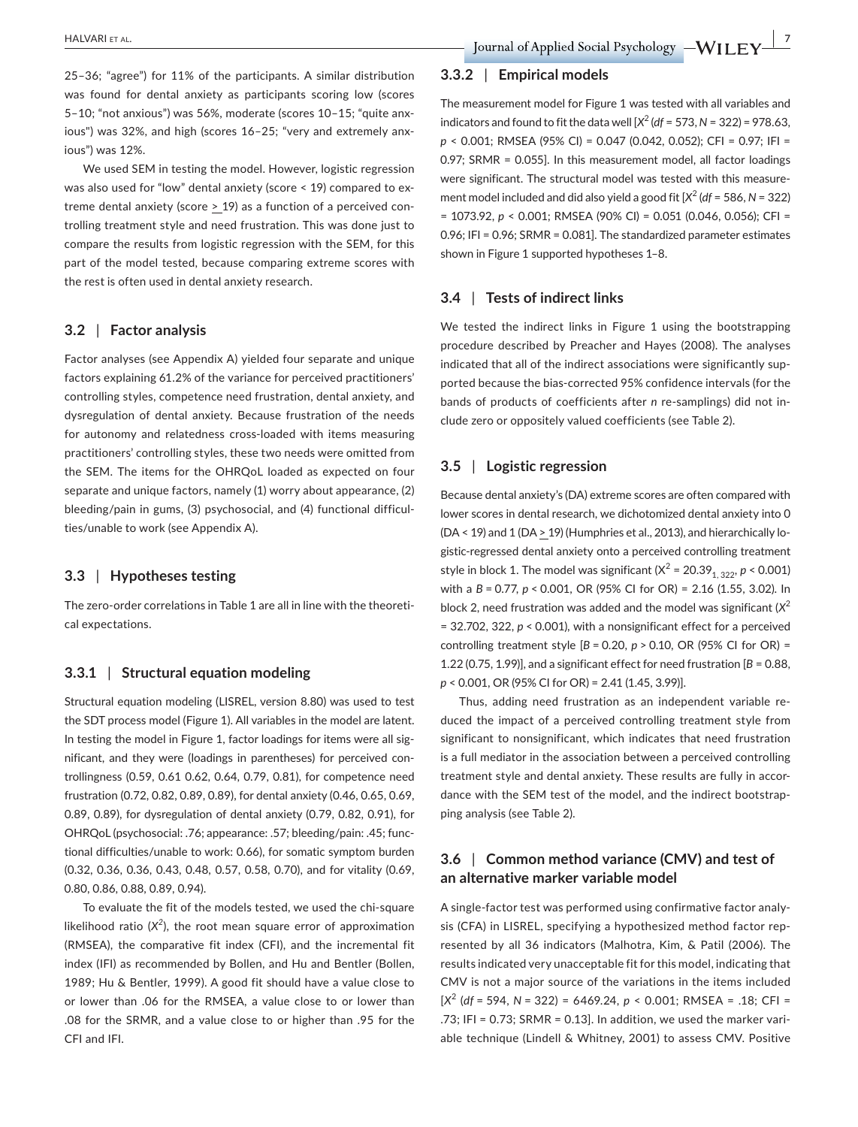25–36; "agree") for 11% of the participants. A similar distribution was found for dental anxiety as participants scoring low (scores 5–10; "not anxious") was 56%, moderate (scores 10–15; "quite anxious") was 32%, and high (scores 16–25; "very and extremely anxious") was 12%.

We used SEM in testing the model. However, logistic regression was also used for "low" dental anxiety (score < 19) compared to extreme dental anxiety (score > 19) as a function of a perceived controlling treatment style and need frustration. This was done just to compare the results from logistic regression with the SEM, for this part of the model tested, because comparing extreme scores with the rest is often used in dental anxiety research.

## **3.2** | **Factor analysis**

Factor analyses (see Appendix A) yielded four separate and unique factors explaining 61.2% of the variance for perceived practitioners' controlling styles, competence need frustration, dental anxiety, and dysregulation of dental anxiety. Because frustration of the needs for autonomy and relatedness cross-loaded with items measuring practitioners' controlling styles, these two needs were omitted from the SEM. The items for the OHRQoL loaded as expected on four separate and unique factors, namely (1) worry about appearance, (2) bleeding/pain in gums, (3) psychosocial, and (4) functional difficulties/unable to work (see Appendix A).

## **3.3** | **Hypotheses testing**

The zero-order correlations in Table 1 are all in line with the theoretical expectations.

## **3.3.1** | **Structural equation modeling**

Structural equation modeling (LISREL, version 8.80) was used to test the SDT process model (Figure 1). All variables in the model are latent. In testing the model in Figure 1, factor loadings for items were all significant, and they were (loadings in parentheses) for perceived controllingness (0.59, 0.61 0.62, 0.64, 0.79, 0.81), for competence need frustration (0.72, 0.82, 0.89, 0.89), for dental anxiety (0.46, 0.65, 0.69, 0.89, 0.89), for dysregulation of dental anxiety (0.79, 0.82, 0.91), for OHRQoL (psychosocial: .76; appearance: .57; bleeding/pain: .45; functional difficulties/unable to work: 0.66), for somatic symptom burden (0.32, 0.36, 0.36, 0.43, 0.48, 0.57, 0.58, 0.70), and for vitality (0.69, 0.80, 0.86, 0.88, 0.89, 0.94).

To evaluate the fit of the models tested, we used the chi-square likelihood ratio  $(X^2)$ , the root mean square error of approximation (RMSEA), the comparative fit index (CFI), and the incremental fit index (IFI) as recommended by Bollen, and Hu and Bentler (Bollen, 1989; Hu & Bentler, 1999). A good fit should have a value close to or lower than .06 for the RMSEA, a value close to or lower than .08 for the SRMR, and a value close to or higher than .95 for the CFI and IFI.

#### **3.3.2** | **Empirical models**

The measurement model for Figure 1 was tested with all variables and indicators and found to fit the data well  $[X^2 (df = 573, N = 322) = 978.63,$ *p* < 0.001; RMSEA (95% CI) = 0.047 (0.042, 0.052); CFI = 0.97; IFI = 0.97; SRMR = 0.055]. In this measurement model, all factor loadings were significant. The structural model was tested with this measurement model included and did also yield a good fit  $[X^2 (df = 586, N = 322)$ = 1073.92, *p* < 0.001; RMSEA (90% CI) = 0.051 (0.046, 0.056); CFI = 0.96; IFI = 0.96; SRMR = 0.081]. The standardized parameter estimates shown in Figure 1 supported hypotheses 1–8.

#### **3.4** | **Tests of indirect links**

We tested the indirect links in Figure 1 using the bootstrapping procedure described by Preacher and Hayes (2008). The analyses indicated that all of the indirect associations were significantly supported because the bias‐corrected 95% confidence intervals (for the bands of products of coefficients after *n* re-samplings) did not include zero or oppositely valued coefficients (see Table 2).

#### **3.5** | **Logistic regression**

Because dental anxiety's (DA) extreme scores are often compared with lower scores in dental research, we dichotomized dental anxiety into 0 (DA < 19) and 1 (DA > 19) (Humphries et al., 2013), and hierarchically logistic-regressed dental anxiety onto a perceived controlling treatment style in block 1. The model was significant ( $X^2 = 20.39_{1,322}$ ,  $p < 0.001$ ) with a *B* = 0.77, *p* < 0.001, OR (95% CI for OR) = 2.16 (1.55, 3.02). In block 2, need frustration was added and the model was significant (*X*<sup>2</sup> = 32.702, 322, *p* < 0.001), with a nonsignificant effect for a perceived controlling treatment style [*B* = 0.20, *p* > 0.10, OR (95% CI for OR) = 1.22 (0.75, 1.99)], and a significant effect for need frustration [*B* = 0.88, *p* < 0.001, OR (95% CI for OR) = 2.41 (1.45, 3.99)].

Thus, adding need frustration as an independent variable reduced the impact of a perceived controlling treatment style from significant to nonsignificant, which indicates that need frustration is a full mediator in the association between a perceived controlling treatment style and dental anxiety. These results are fully in accordance with the SEM test of the model, and the indirect bootstrapping analysis (see Table 2).

# **3.6** | **Common method variance (CMV) and test of an alternative marker variable model**

A single-factor test was performed using confirmative factor analysis (CFA) in LISREL, specifying a hypothesized method factor represented by all 36 indicators (Malhotra, Kim, & Patil (2006). The results indicated very unacceptable fit for this model, indicating that CMV is not a major source of the variations in the items included [*X*<sup>2</sup> (*df* = 594, *N* = 322) = 6469.24, *p* < 0.001; RMSEA = .18; CFI = .73; IFI = 0.73; SRMR = 0.13]. In addition, we used the marker variable technique (Lindell & Whitney, 2001) to assess CMV. Positive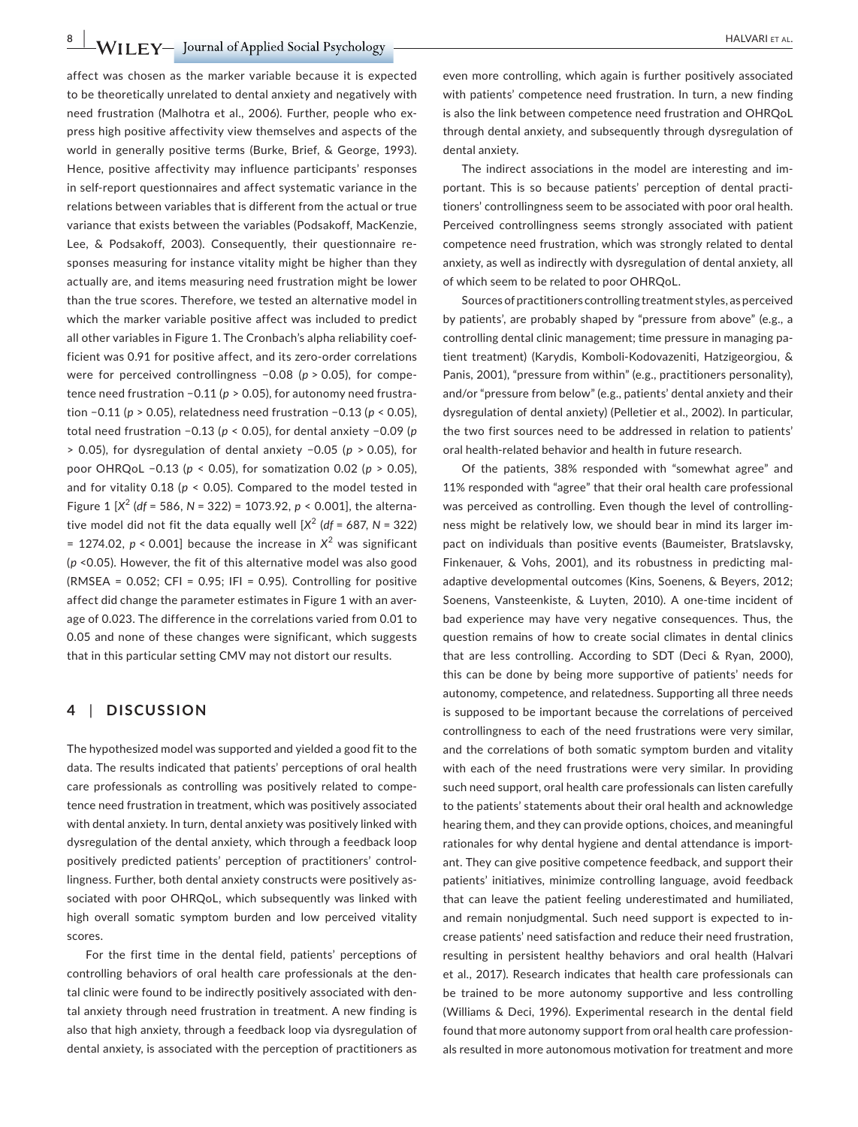**8 |**  HALVARI et AL.

affect was chosen as the marker variable because it is expected to be theoretically unrelated to dental anxiety and negatively with need frustration (Malhotra et al., 2006). Further, people who express high positive affectivity view themselves and aspects of the world in generally positive terms (Burke, Brief, & George, 1993). Hence, positive affectivity may influence participants' responses in self-report questionnaires and affect systematic variance in the relations between variables that is different from the actual or true variance that exists between the variables (Podsakoff, MacKenzie, Lee, & Podsakoff, 2003). Consequently, their questionnaire responses measuring for instance vitality might be higher than they actually are, and items measuring need frustration might be lower than the true scores. Therefore, we tested an alternative model in which the marker variable positive affect was included to predict all other variables in Figure 1. The Cronbach's alpha reliability coefficient was 0.91 for positive affect, and its zero-order correlations were for perceived controllingness -0.08 (*p* > 0.05), for competence need frustration −0.11 (*p* > 0.05), for autonomy need frustration −0.11 (*p* > 0.05), relatedness need frustration −0.13 (*p* < 0.05), total need frustration −0.13 (*p* < 0.05), for dental anxiety −0.09 (*p* > 0.05), for dysregulation of dental anxiety −0.05 (*p* > 0.05), for poor OHRQoL −0.13 (*p* < 0.05), for somatization 0.02 (*p* > 0.05), and for vitality  $0.18$  ( $p < 0.05$ ). Compared to the model tested in Figure 1 [*X*<sup>2</sup> (*df* = 586, *N* = 322) = 1073.92, *p* < 0.001], the alternative model did not fit the data equally well  $[X^2 (df = 687, N = 322)$  $= 1274.02$ ,  $p < 0.001$ ] because the increase in  $X<sup>2</sup>$  was significant (*p* <0.05). However, the fit of this alternative model was also good  $(NMSEA = 0.052; CFI = 0.95; IFI = 0.95)$ . Controlling for positive affect did change the parameter estimates in Figure 1 with an average of 0.023. The difference in the correlations varied from 0.01 to 0.05 and none of these changes were significant, which suggests that in this particular setting CMV may not distort our results.

## **4** | **DISCUSSION**

The hypothesized model was supported and yielded a good fit to the data. The results indicated that patients' perceptions of oral health care professionals as controlling was positively related to competence need frustration in treatment, which was positively associated with dental anxiety. In turn, dental anxiety was positively linked with dysregulation of the dental anxiety, which through a feedback loop positively predicted patients' perception of practitioners' controllingness. Further, both dental anxiety constructs were positively associated with poor OHRQoL, which subsequently was linked with high overall somatic symptom burden and low perceived vitality scores.

For the first time in the dental field, patients' perceptions of controlling behaviors of oral health care professionals at the dental clinic were found to be indirectly positively associated with dental anxiety through need frustration in treatment. A new finding is also that high anxiety, through a feedback loop via dysregulation of dental anxiety, is associated with the perception of practitioners as

even more controlling, which again is further positively associated with patients' competence need frustration. In turn, a new finding is also the link between competence need frustration and OHRQoL through dental anxiety, and subsequently through dysregulation of dental anxiety.

The indirect associations in the model are interesting and important. This is so because patients' perception of dental practitioners' controllingness seem to be associated with poor oral health. Perceived controllingness seems strongly associated with patient competence need frustration, which was strongly related to dental anxiety, as well as indirectly with dysregulation of dental anxiety, all of which seem to be related to poor OHRQoL.

Sources of practitioners controlling treatment styles, as perceived by patients', are probably shaped by "pressure from above" (e.g., a controlling dental clinic management; time pressure in managing patient treatment) (Karydis, Komboli-Kodovazeniti, Hatzigeorgiou, & Panis, 2001), "pressure from within" (e.g., practitioners personality), and/or "pressure from below" (e.g., patients' dental anxiety and their dysregulation of dental anxiety) (Pelletier et al., 2002). In particular, the two first sources need to be addressed in relation to patients' oral health-related behavior and health in future research.

Of the patients, 38% responded with "somewhat agree" and 11% responded with "agree" that their oral health care professional was perceived as controlling. Even though the level of controllingness might be relatively low, we should bear in mind its larger impact on individuals than positive events (Baumeister, Bratslavsky, Finkenauer, & Vohs, 2001), and its robustness in predicting maladaptive developmental outcomes (Kins, Soenens, & Beyers, 2012; Soenens, Vansteenkiste, & Luyten, 2010). A one-time incident of bad experience may have very negative consequences. Thus, the question remains of how to create social climates in dental clinics that are less controlling. According to SDT (Deci & Ryan, 2000), this can be done by being more supportive of patients' needs for autonomy, competence, and relatedness. Supporting all three needs is supposed to be important because the correlations of perceived controllingness to each of the need frustrations were very similar, and the correlations of both somatic symptom burden and vitality with each of the need frustrations were very similar. In providing such need support, oral health care professionals can listen carefully to the patients' statements about their oral health and acknowledge hearing them, and they can provide options, choices, and meaningful rationales for why dental hygiene and dental attendance is important. They can give positive competence feedback, and support their patients' initiatives, minimize controlling language, avoid feedback that can leave the patient feeling underestimated and humiliated, and remain nonjudgmental. Such need support is expected to increase patients' need satisfaction and reduce their need frustration, resulting in persistent healthy behaviors and oral health (Halvari et al., 2017). Research indicates that health care professionals can be trained to be more autonomy supportive and less controlling (Williams & Deci, 1996). Experimental research in the dental field found that more autonomy support from oral health care professionals resulted in more autonomous motivation for treatment and more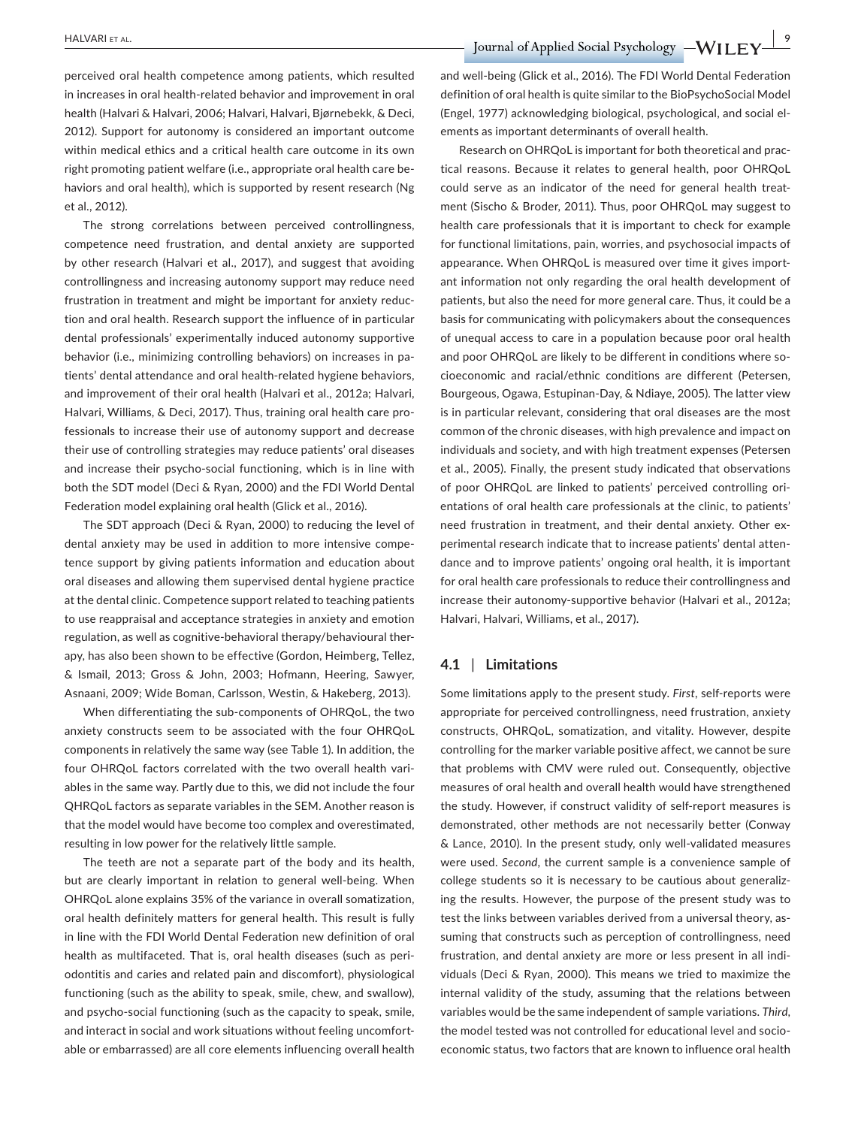perceived oral health competence among patients, which resulted in increases in oral health-related behavior and improvement in oral health (Halvari & Halvari, 2006; Halvari, Halvari, Bjørnebekk, & Deci, 2012). Support for autonomy is considered an important outcome within medical ethics and a critical health care outcome in its own right promoting patient welfare (i.e., appropriate oral health care behaviors and oral health), which is supported by resent research (Ng et al., 2012).

The strong correlations between perceived controllingness, competence need frustration, and dental anxiety are supported by other research (Halvari et al., 2017), and suggest that avoiding controllingness and increasing autonomy support may reduce need frustration in treatment and might be important for anxiety reduction and oral health. Research support the influence of in particular dental professionals' experimentally induced autonomy supportive behavior (i.e., minimizing controlling behaviors) on increases in patients' dental attendance and oral health-related hygiene behaviors, and improvement of their oral health (Halvari et al., 2012a; Halvari, Halvari, Williams, & Deci, 2017). Thus, training oral health care professionals to increase their use of autonomy support and decrease their use of controlling strategies may reduce patients' oral diseases and increase their psycho-social functioning, which is in line with both the SDT model (Deci & Ryan, 2000) and the FDI World Dental Federation model explaining oral health (Glick et al., 2016).

The SDT approach (Deci & Ryan, 2000) to reducing the level of dental anxiety may be used in addition to more intensive competence support by giving patients information and education about oral diseases and allowing them supervised dental hygiene practice at the dental clinic. Competence support related to teaching patients to use reappraisal and acceptance strategies in anxiety and emotion regulation, as well as cognitive-behavioral therapy/behavioural therapy, has also been shown to be effective (Gordon, Heimberg, Tellez, & Ismail, 2013; Gross & John, 2003; Hofmann, Heering, Sawyer, Asnaani, 2009; Wide Boman, Carlsson, Westin, & Hakeberg, 2013).

When differentiating the sub‐components of OHRQoL, the two anxiety constructs seem to be associated with the four OHRQoL components in relatively the same way (see Table 1). In addition, the four OHRQoL factors correlated with the two overall health variables in the same way. Partly due to this, we did not include the four QHRQoL factors as separate variables in the SEM. Another reason is that the model would have become too complex and overestimated, resulting in low power for the relatively little sample.

The teeth are not a separate part of the body and its health, but are clearly important in relation to general well-being. When OHRQoL alone explains 35% of the variance in overall somatization, oral health definitely matters for general health. This result is fully in line with the FDI World Dental Federation new definition of oral health as multifaceted. That is, oral health diseases (such as periodontitis and caries and related pain and discomfort), physiological functioning (such as the ability to speak, smile, chew, and swallow), and psycho-social functioning (such as the capacity to speak, smile, and interact in social and work situations without feeling uncomfortable or embarrassed) are all core elements influencing overall health

and well‐being (Glick et al., 2016). The FDI World Dental Federation definition of oral health is quite similar to the BioPsychoSocial Model (Engel, 1977) acknowledging biological, psychological, and social elements as important determinants of overall health.

Research on OHRQoL is important for both theoretical and practical reasons. Because it relates to general health, poor OHRQoL could serve as an indicator of the need for general health treatment (Sischo & Broder, 2011). Thus, poor OHRQoL may suggest to health care professionals that it is important to check for example for functional limitations, pain, worries, and psychosocial impacts of appearance. When OHRQoL is measured over time it gives important information not only regarding the oral health development of patients, but also the need for more general care. Thus, it could be a basis for communicating with policymakers about the consequences of unequal access to care in a population because poor oral health and poor OHRQoL are likely to be different in conditions where socioeconomic and racial/ethnic conditions are different (Petersen, Bourgeous, Ogawa, Estupinan‐Day, & Ndiaye, 2005). The latter view is in particular relevant, considering that oral diseases are the most common of the chronic diseases, with high prevalence and impact on individuals and society, and with high treatment expenses (Petersen et al., 2005). Finally, the present study indicated that observations of poor OHRQoL are linked to patients' perceived controlling orientations of oral health care professionals at the clinic, to patients' need frustration in treatment, and their dental anxiety. Other experimental research indicate that to increase patients' dental attendance and to improve patients' ongoing oral health, it is important for oral health care professionals to reduce their controllingness and increase their autonomy-supportive behavior (Halvari et al., 2012a; Halvari, Halvari, Williams, et al., 2017).

## **4.1** | **Limitations**

Some limitations apply to the present study. *First*, self-reports were appropriate for perceived controllingness, need frustration, anxiety constructs, OHRQoL, somatization, and vitality. However, despite controlling for the marker variable positive affect, we cannot be sure that problems with CMV were ruled out. Consequently, objective measures of oral health and overall health would have strengthened the study. However, if construct validity of self-report measures is demonstrated, other methods are not necessarily better (Conway & Lance, 2010). In the present study, only well‐validated measures were used. *Second*, the current sample is a convenience sample of college students so it is necessary to be cautious about generalizing the results. However, the purpose of the present study was to test the links between variables derived from a universal theory, assuming that constructs such as perception of controllingness, need frustration, and dental anxiety are more or less present in all individuals (Deci & Ryan, 2000). This means we tried to maximize the internal validity of the study, assuming that the relations between variables would be the same independent of sample variations. *Third*, the model tested was not controlled for educational level and socioeconomic status, two factors that are known to influence oral health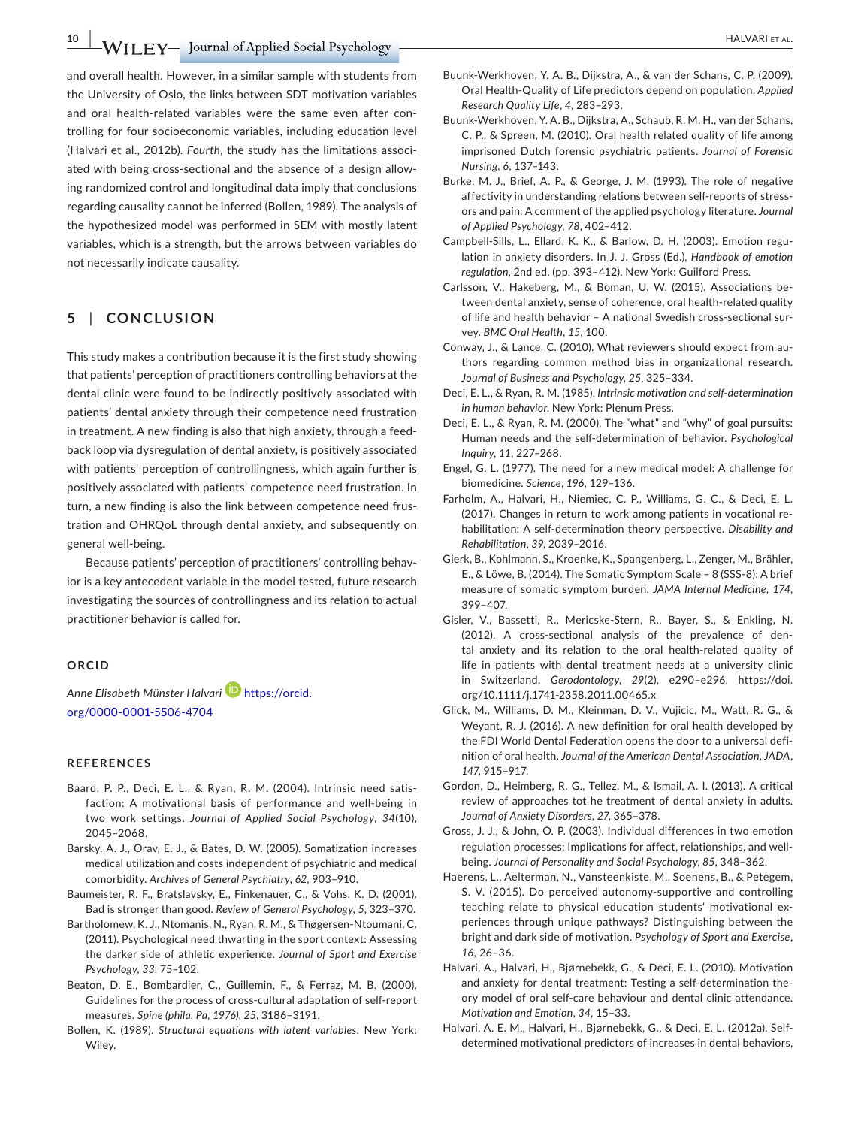and overall health. However, in a similar sample with students from the University of Oslo, the links between SDT motivation variables and oral health-related variables were the same even after controlling for four socioeconomic variables, including education level (Halvari et al., 2012b). *Fourth*, the study has the limitations associated with being cross-sectional and the absence of a design allowing randomized control and longitudinal data imply that conclusions regarding causality cannot be inferred (Bollen, 1989). The analysis of the hypothesized model was performed in SEM with mostly latent variables, which is a strength, but the arrows between variables do not necessarily indicate causality.

# **5** | **CONCLUSION**

This study makes a contribution because it is the first study showing that patients' perception of practitioners controlling behaviors at the dental clinic were found to be indirectly positively associated with patients' dental anxiety through their competence need frustration in treatment. A new finding is also that high anxiety, through a feedback loop via dysregulation of dental anxiety, is positively associated with patients' perception of controllingness, which again further is positively associated with patients' competence need frustration. In turn, a new finding is also the link between competence need frustration and OHRQoL through dental anxiety, and subsequently on general well-being.

Because patients' perception of practitioners' controlling behavior is a key antecedent variable in the model tested, future research investigating the sources of controllingness and its relation to actual practitioner behavior is called for.

## **ORCID**

*Anne Elisabeth Münster Halvar[i](https://orcid.org/0000-0001-5506-4704)* [https://orcid.](https://orcid.org/0000-0001-5506-4704) [org/0000‐0001‐5506‐4704](https://orcid.org/0000-0001-5506-4704)

#### **REFERENCES**

- Baard, P. P., Deci, E. L., & Ryan, R. M. (2004). Intrinsic need satisfaction: A motivational basis of performance and well-being in two work settings. *Journal of Applied Social Psychology*, *34*(10), 2045–2068.
- Barsky, A. J., Orav, E. J., & Bates, D. W. (2005). Somatization increases medical utilization and costs independent of psychiatric and medical comorbidity. *Archives of General Psychiatry*, *62*, 903–910.
- Baumeister, R. F., Bratslavsky, E., Finkenauer, C., & Vohs, K. D. (2001). Bad is stronger than good. *Review of General Psychology*, *5*, 323–370.
- Bartholomew, K. J., Ntomanis, N., Ryan, R. M., & Thøgersen‐Ntoumani, C. (2011). Psychological need thwarting in the sport context: Assessing the darker side of athletic experience. *Journal of Sport and Exercise Psychology*, *33*, 75–102.
- Beaton, D. E., Bombardier, C., Guillemin, F., & Ferraz, M. B. (2000). Guidelines for the process of cross-cultural adaptation of self-report measures. *Spine (phila. Pa, 1976)*, *25*, 3186–3191.
- Bollen, K. (1989). *Structural equations with latent variables*. New York: Wiley.
- Buunk‐Werkhoven, Y. A. B., Dijkstra, A., & van der Schans, C. P. (2009). Oral Health‐Quality of Life predictors depend on population. *Applied Research Quality Life*, *4*, 283–293.
- Buunk‐Werkhoven, Y. A. B., Dijkstra, A., Schaub, R. M. H., van der Schans, C. P., & Spreen, M. (2010). Oral health related quality of life among imprisoned Dutch forensic psychiatric patients. *Journal of Forensic Nursing*, *6*, 137–143.
- Burke, M. J., Brief, A. P., & George, J. M. (1993). The role of negative affectivity in understanding relations between self-reports of stressors and pain: A comment of the applied psychology literature. *Journal of Applied Psychology*, *78*, 402–412.
- Campbell-Sills, L., Ellard, K. K., & Barlow, D. H. (2003). Emotion regulation in anxiety disorders. In J. J. Gross (Ed.), *Handbook of emotion regulation*, 2nd ed. (pp. 393–412). New York: Guilford Press.
- Carlsson, V., Hakeberg, M., & Boman, U. W. (2015). Associations between dental anxiety, sense of coherence, oral health-related quality of life and health behavior – A national Swedish cross-sectional survey. *BMC Oral Health*, *15*, 100.
- Conway, J., & Lance, C. (2010). What reviewers should expect from authors regarding common method bias in organizational research. *Journal of Business and Psychology*, *25*, 325–334.
- Deci, E. L., & Ryan, R. M. (1985). *Intrinsic motivation and self-determination in human behavior*. New York: Plenum Press.
- Deci, E. L., & Ryan, R. M. (2000). The "what" and "why" of goal pursuits: Human needs and the self-determination of behavior. *Psychological Inquiry*, *11*, 227–268.
- Engel, G. L. (1977). The need for a new medical model: A challenge for biomedicine. *Science*, *196*, 129–136.
- Farholm, A., Halvari, H., Niemiec, C. P., Williams, G. C., & Deci, E. L. (2017). Changes in return to work among patients in vocational rehabilitation: A self-determination theory perspective. *Disability and Rehabilitation*, *39*, 2039–2016.
- Gierk, B., Kohlmann, S., Kroenke, K., Spangenberg, L., Zenger, M., Brähler, E., & Löwe, B. (2014). The Somatic Symptom Scale – 8 (SSS‐8): A brief measure of somatic symptom burden. *JAMA Internal Medicine*, *174*, 399–407.
- Gisler, V., Bassetti, R., Mericske‐Stern, R., Bayer, S., & Enkling, N. (2012). A cross-sectional analysis of the prevalence of dental anxiety and its relation to the oral health-related quality of life in patients with dental treatment needs at a university clinic in Switzerland. *Gerodontology*, *29*(2), e290–e296. [https://doi.](https://doi.org/10.1111/j.1741-2358.2011.00465.x) [org/10.1111/j.1741‐2358.2011.00465.x](https://doi.org/10.1111/j.1741-2358.2011.00465.x)
- Glick, M., Williams, D. M., Kleinman, D. V., Vujicic, M., Watt, R. G., & Weyant, R. J. (2016). A new definition for oral health developed by the FDI World Dental Federation opens the door to a universal definition of oral health. *Journal of the American Dental Association, JADA*, *147*, 915–917.
- Gordon, D., Heimberg, R. G., Tellez, M., & Ismail, A. I. (2013). A critical review of approaches tot he treatment of dental anxiety in adults. *Journal of Anxiety Disorders*, *27*, 365–378.
- Gross, J. J., & John, O. P. (2003). Individual differences in two emotion regulation processes: Implications for affect, relationships, and well‐ being. *Journal of Personality and Social Psychology*, *85*, 348–362.
- Haerens, L., Aelterman, N., Vansteenkiste, M., Soenens, B., & Petegem, S. V. (2015). Do perceived autonomy‐supportive and controlling teaching relate to physical education students' motivational experiences through unique pathways? Distinguishing between the bright and dark side of motivation. *Psychology of Sport and Exercise*, *16*, 26–36.
- Halvari, A., Halvari, H., Bjørnebekk, G., & Deci, E. L. (2010). Motivation and anxiety for dental treatment: Testing a self-determination theory model of oral self-care behaviour and dental clinic attendance. *Motivation and Emotion*, *34*, 15–33.
- Halvari, A. E. M., Halvari, H., Bjørnebekk, G., & Deci, E. L. (2012a). Selfdetermined motivational predictors of increases in dental behaviors,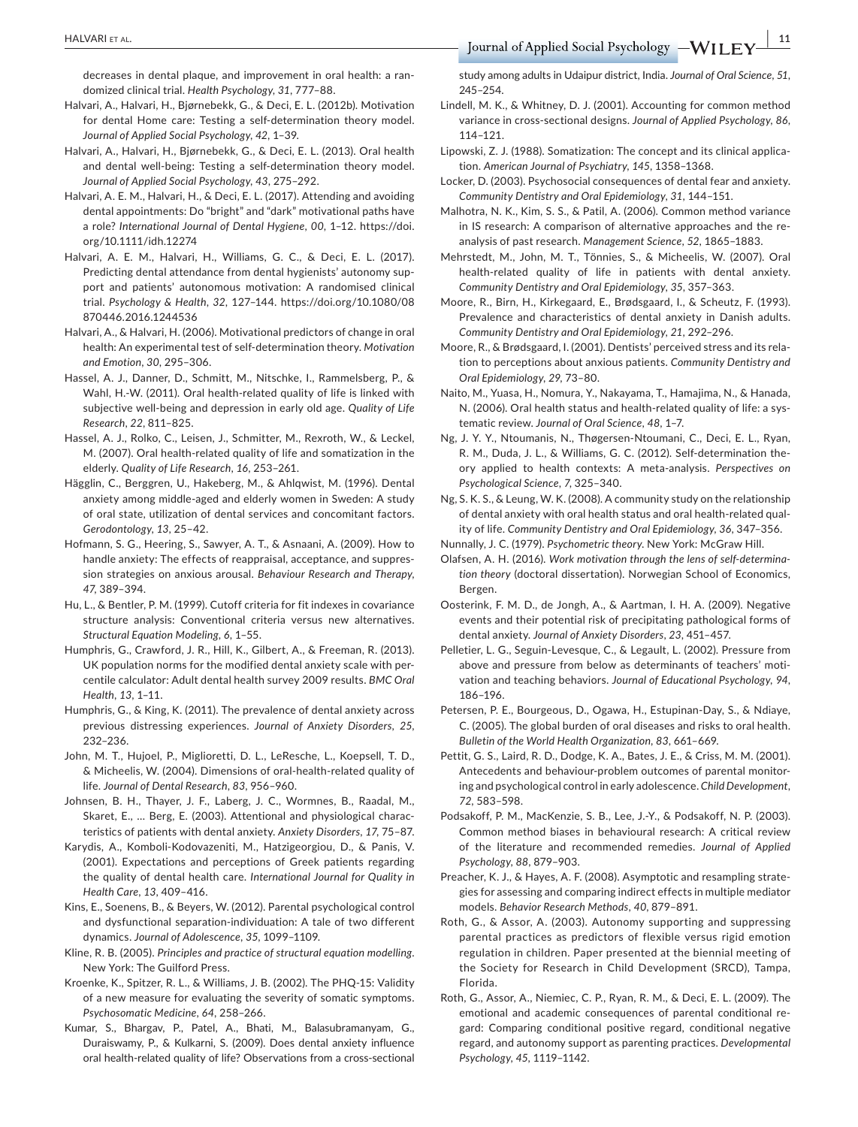decreases in dental plaque, and improvement in oral health: a randomized clinical trial. *Health Psychology*, *31*, 777–88.

- Halvari, A., Halvari, H., Bjørnebekk, G., & Deci, E. L. (2012b). Motivation for dental Home care: Testing a self-determination theory model. *Journal of Applied Social Psychology*, *42*, 1–39.
- Halvari, A., Halvari, H., Bjørnebekk, G., & Deci, E. L. (2013). Oral health and dental well-being: Testing a self-determination theory model. *Journal of Applied Social Psychology*, *43*, 275–292.
- Halvari, A. E. M., Halvari, H., & Deci, E. L. (2017). Attending and avoiding dental appointments: Do "bright" and "dark" motivational paths have a role? *International Journal of Dental Hygiene*, *00*, 1–12. [https://doi.](https://doi.org/10.1111/idh.12274) [org/10.1111/idh.12274](https://doi.org/10.1111/idh.12274)
- Halvari, A. E. M., Halvari, H., Williams, G. C., & Deci, E. L. (2017). Predicting dental attendance from dental hygienists' autonomy support and patients' autonomous motivation: A randomised clinical trial. *Psychology & Health*, *32*, 127–144. [https://doi.org/10.1080/08](https://doi.org/10.1080/08870446.2016.1244536) [870446.2016.1244536](https://doi.org/10.1080/08870446.2016.1244536)
- Halvari, A., & Halvari, H. (2006). Motivational predictors of change in oral health: An experimental test of self-determination theory. *Motivation and Emotion*, *30*, 295–306.
- Hassel, A. J., Danner, D., Schmitt, M., Nitschke, I., Rammelsberg, P., & Wahl, H.‐W. (2011). Oral health‐related quality of life is linked with subjective well-being and depression in early old age. *Quality of Life Research*, *22*, 811–825.
- Hassel, A. J., Rolko, C., Leisen, J., Schmitter, M., Rexroth, W., & Leckel, M. (2007). Oral health‐related quality of life and somatization in the elderly. *Quality of Life Research*, *16*, 253–261.
- Hägglin, C., Berggren, U., Hakeberg, M., & Ahlqwist, M. (1996). Dental anxiety among middle-aged and elderly women in Sweden: A study of oral state, utilization of dental services and concomitant factors. *Gerodontology*, *13*, 25–42.
- Hofmann, S. G., Heering, S., Sawyer, A. T., & Asnaani, A. (2009). How to handle anxiety: The effects of reappraisal, acceptance, and suppression strategies on anxious arousal. *Behaviour Research and Therapy*, *47*, 389–394.
- Hu, L., & Bentler, P. M. (1999). Cutoff criteria for fit indexes in covariance structure analysis: Conventional criteria versus new alternatives. *Structural Equation Modeling*, *6*, 1–55.
- Humphris, G., Crawford, J. R., Hill, K., Gilbert, A., & Freeman, R. (2013). UK population norms for the modified dental anxiety scale with percentile calculator: Adult dental health survey 2009 results. *BMC Oral Health*, *13*, 1–11.
- Humphris, G., & King, K. (2011). The prevalence of dental anxiety across previous distressing experiences. *Journal of Anxiety Disorders*, *25*, 232–236.
- John, M. T., Hujoel, P., Miglioretti, D. L., LeResche, L., Koepsell, T. D., & Micheelis, W. (2004). Dimensions of oral-health-related quality of life. *Journal of Dental Research*, *83*, 956–960.
- Johnsen, B. H., Thayer, J. F., Laberg, J. C., Wormnes, B., Raadal, M., Skaret, E., … Berg, E. (2003). Attentional and physiological characteristics of patients with dental anxiety. *Anxiety Disorders*, *17*, 75–87.
- Karydis, A., Komboli-Kodovazeniti, M., Hatzigeorgiou, D., & Panis, V. (2001). Expectations and perceptions of Greek patients regarding the quality of dental health care. *International Journal for Quality in Health Care*, *13*, 409–416.
- Kins, E., Soenens, B., & Beyers, W. (2012). Parental psychological control and dysfunctional separation-individuation: A tale of two different dynamics. *Journal of Adolescence*, *35*, 1099–1109.
- Kline, R. B. (2005). *Principles and practice of structural equation modelling*. New York: The Guilford Press.
- Kroenke, K., Spitzer, R. L., & Williams, J. B. (2002). The PHQ‐15: Validity of a new measure for evaluating the severity of somatic symptoms. *Psychosomatic Medicine*, *64*, 258–266.
- Kumar, S., Bhargav, P., Patel, A., Bhati, M., Balasubramanyam, G., Duraiswamy, P., & Kulkarni, S. (2009). Does dental anxiety influence oral health‐related quality of life? Observations from a cross‐sectional

study among adults in Udaipur district, India. *Journal of Oral Science*, *51*, 245–254.

- Lindell, M. K., & Whitney, D. J. (2001). Accounting for common method variance in cross-sectional designs. *Journal of Applied Psychology*, *86*, 114–121.
- Lipowski, Z. J. (1988). Somatization: The concept and its clinical application. *American Journal of Psychiatry*, *145*, 1358–1368.
- Locker, D. (2003). Psychosocial consequences of dental fear and anxiety. *Community Dentistry and Oral Epidemiology*, *31*, 144–151.
- Malhotra, N. K., Kim, S. S., & Patil, A. (2006). Common method variance in IS research: A comparison of alternative approaches and the reanalysis of past research. *Management Science*, *52*, 1865–1883.
- Mehrstedt, M., John, M. T., Tönnies, S., & Micheelis, W. (2007). Oral health-related quality of life in patients with dental anxiety. *Community Dentistry and Oral Epidemiology*, *35*, 357–363.
- Moore, R., Birn, H., Kirkegaard, E., Brødsgaard, I., & Scheutz, F. (1993). Prevalence and characteristics of dental anxiety in Danish adults. *Community Dentistry and Oral Epidemiology*, *21*, 292–296.
- Moore, R., & Brødsgaard, I. (2001). Dentists' perceived stress and its relation to perceptions about anxious patients. *Community Dentistry and Oral Epidemiology*, *29*, 73–80.
- Naito, M., Yuasa, H., Nomura, Y., Nakayama, T., Hamajima, N., & Hanada, N. (2006). Oral health status and health‐related quality of life: a systematic review. *Journal of Oral Science*, *48*, 1–7.
- Ng, J. Y. Y., Ntoumanis, N., Thøgersen‐Ntoumani, C., Deci, E. L., Ryan, R. M., Duda, J. L., & Williams, G. C. (2012). Self-determination theory applied to health contexts: A meta-analysis. *Perspectives on Psychological Science*, *7*, 325–340.
- Ng, S. K. S., & Leung, W. K. (2008). A community study on the relationship of dental anxiety with oral health status and oral health-related quality of life. *Community Dentistry and Oral Epidemiology*, *36*, 347–356.
- Nunnally, J. C. (1979). *Psychometric theory*. New York: McGraw Hill.
- Olafsen, A. H. (2016). *Work motivation through the lens of self-determination theory* (doctoral dissertation). Norwegian School of Economics, Bergen.
- Oosterink, F. M. D., de Jongh, A., & Aartman, I. H. A. (2009). Negative events and their potential risk of precipitating pathological forms of dental anxiety. *Journal of Anxiety Disorders*, *23*, 451–457.
- Pelletier, L. G., Seguin-Levesque, C., & Legault, L. (2002). Pressure from above and pressure from below as determinants of teachers' motivation and teaching behaviors. *Journal of Educational Psychology*, *94*, 186–196.
- Petersen, P. E., Bourgeous, D., Ogawa, H., Estupinan‐Day, S., & Ndiaye, C. (2005). The global burden of oral diseases and risks to oral health. *Bulletin of the World Health Organization*, *83*, 661–669.
- Pettit, G. S., Laird, R. D., Dodge, K. A., Bates, J. E., & Criss, M. M. (2001). Antecedents and behaviour-problem outcomes of parental monitoring and psychological control in early adolescence. *Child Development*, *72*, 583–598.
- Podsakoff, P. M., MacKenzie, S. B., Lee, J.‐Y., & Podsakoff, N. P. (2003). Common method biases in behavioural research: A critical review of the literature and recommended remedies. *Journal of Applied Psychology*, *88*, 879–903.
- Preacher, K. J., & Hayes, A. F. (2008). Asymptotic and resampling strategies for assessing and comparing indirect effects in multiple mediator models. *Behavior Research Methods*, *40*, 879–891.
- Roth, G., & Assor, A. (2003). Autonomy supporting and suppressing parental practices as predictors of flexible versus rigid emotion regulation in children. Paper presented at the biennial meeting of the Society for Research in Child Development (SRCD), Tampa, Florida.
- Roth, G., Assor, A., Niemiec, C. P., Ryan, R. M., & Deci, E. L. (2009). The emotional and academic consequences of parental conditional regard: Comparing conditional positive regard, conditional negative regard, and autonomy support as parenting practices. *Developmental Psychology*, *45*, 1119–1142.